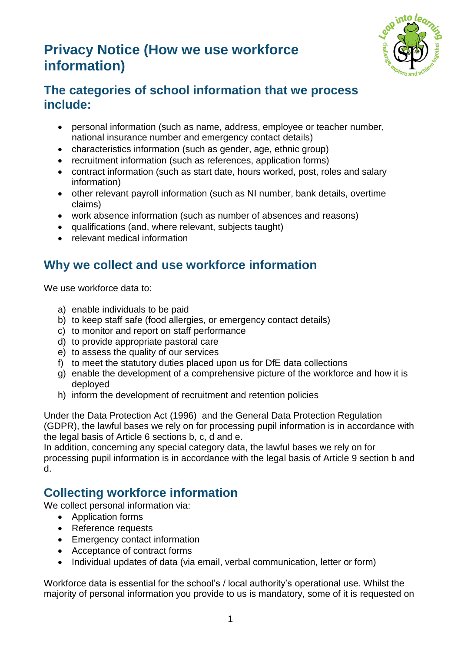# **Privacy Notice (How we use workforce information)**



# **The categories of school information that we process include:**

- personal information (such as name, address, employee or teacher number, national insurance number and emergency contact details)
- characteristics information (such as gender, age, ethnic group)
- recruitment information (such as references, application forms)
- contract information (such as start date, hours worked, post, roles and salary information)
- other relevant payroll information (such as NI number, bank details, overtime claims)
- work absence information (such as number of absences and reasons)
- qualifications (and, where relevant, subjects taught)
- relevant medical information

# **Why we collect and use workforce information**

We use workforce data to:

- a) enable individuals to be paid
- b) to keep staff safe (food allergies, or emergency contact details)
- c) to monitor and report on staff performance
- d) to provide appropriate pastoral care
- e) to assess the quality of our services
- f) to meet the statutory duties placed upon us for DfE data collections
- g) enable the development of a comprehensive picture of the workforce and how it is deployed
- h) inform the development of recruitment and retention policies

Under the Data Protection Act (1996) and the General Data Protection Regulation (GDPR), the lawful bases we rely on for processing pupil information is in accordance with the legal basis of Article 6 sections b, c, d and e.

In addition, concerning any special category data, the lawful bases we rely on for processing pupil information is in accordance with the legal basis of Article 9 section b and d.

# **Collecting workforce information**

We collect personal information via:

- Application forms
- Reference requests
- Emergency contact information
- Acceptance of contract forms
- Individual updates of data (via email, verbal communication, letter or form)

Workforce data is essential for the school's / local authority's operational use. Whilst the majority of personal information you provide to us is mandatory, some of it is requested on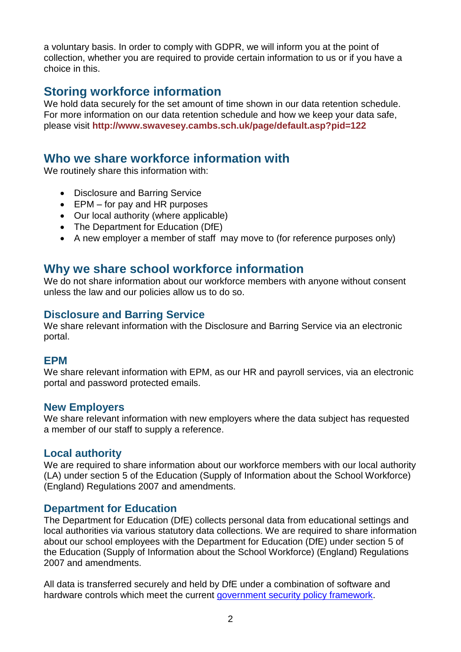a voluntary basis. In order to comply with GDPR, we will inform you at the point of collection, whether you are required to provide certain information to us or if you have a choice in this.

# **Storing workforce information**

We hold data securely for the set amount of time shown in our data retention schedule. For more information on our data retention schedule and how we keep your data safe, please visit **http://www.swavesey.cambs.sch.uk/page/default.asp?pid=122**

## **Who we share workforce information with**

We routinely share this information with:

- Disclosure and Barring Service
- $\bullet$  EPM for pay and HR purposes
- Our local authority (where applicable)
- The Department for Education (DfE)
- A new employer a member of staff may move to (for reference purposes only)

### **Why we share school workforce information**

We do not share information about our workforce members with anyone without consent unless the law and our policies allow us to do so.

#### **Disclosure and Barring Service**

We share relevant information with the Disclosure and Barring Service via an electronic portal.

#### **EPM**

We share relevant information with EPM, as our HR and payroll services, via an electronic portal and password protected emails.

#### **New Employers**

We share relevant information with new employers where the data subject has requested a member of our staff to supply a reference.

#### **Local authority**

We are required to share information about our workforce members with our local authority (LA) under section 5 of the Education (Supply of Information about the School Workforce) (England) Regulations 2007 and amendments.

#### **Department for Education**

The Department for Education (DfE) collects personal data from educational settings and local authorities via various statutory data collections. We are required to share information about our school employees with the Department for Education (DfE) under section 5 of the Education (Supply of Information about the School Workforce) (England) Regulations 2007 and amendments.

All data is transferred securely and held by DfE under a combination of software and hardware controls which meet the current [government security policy framework.](https://www.gov.uk/government/publications/security-policy-framework)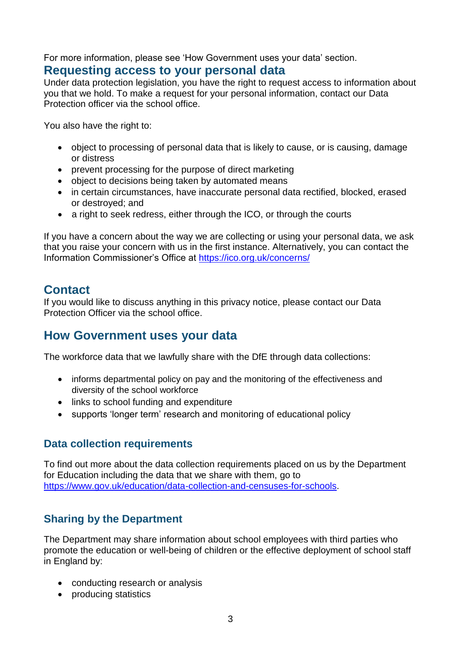For more information, please see 'How Government uses your data' section.

### **Requesting access to your personal data**

Under data protection legislation, you have the right to request access to information about you that we hold. To make a request for your personal information, contact our Data Protection officer via the school office.

You also have the right to:

- object to processing of personal data that is likely to cause, or is causing, damage or distress
- prevent processing for the purpose of direct marketing
- object to decisions being taken by automated means
- in certain circumstances, have inaccurate personal data rectified, blocked, erased or destroyed; and
- a right to seek redress, either through the ICO, or through the courts

If you have a concern about the way we are collecting or using your personal data, we ask that you raise your concern with us in the first instance. Alternatively, you can contact the Information Commissioner's Office at<https://ico.org.uk/concerns/>

### **Contact**

If you would like to discuss anything in this privacy notice, please contact our Data Protection Officer via the school office.

# **How Government uses your data**

The workforce data that we lawfully share with the DfE through data collections:

- informs departmental policy on pay and the monitoring of the effectiveness and diversity of the school workforce
- links to school funding and expenditure
- supports 'longer term' research and monitoring of educational policy

### **Data collection requirements**

To find out more about the data collection requirements placed on us by the Department for Education including the data that we share with them, go to [https://www.gov.uk/education/data-collection-and-censuses-for-schools.](https://www.gov.uk/education/data-collection-and-censuses-for-schools)

### **Sharing by the Department**

The Department may share information about school employees with third parties who promote the education or well-being of children or the effective deployment of school staff in England by:

- conducting research or analysis
- producing statistics